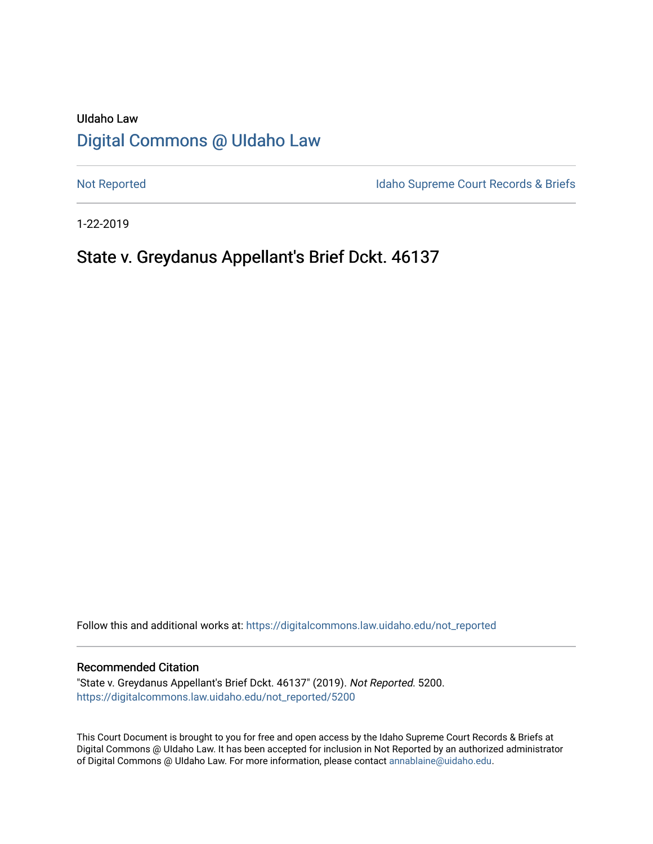# UIdaho Law [Digital Commons @ UIdaho Law](https://digitalcommons.law.uidaho.edu/)

[Not Reported](https://digitalcommons.law.uidaho.edu/not_reported) **Idaho Supreme Court Records & Briefs** 

1-22-2019

# State v. Greydanus Appellant's Brief Dckt. 46137

Follow this and additional works at: [https://digitalcommons.law.uidaho.edu/not\\_reported](https://digitalcommons.law.uidaho.edu/not_reported?utm_source=digitalcommons.law.uidaho.edu%2Fnot_reported%2F5200&utm_medium=PDF&utm_campaign=PDFCoverPages) 

#### Recommended Citation

"State v. Greydanus Appellant's Brief Dckt. 46137" (2019). Not Reported. 5200. [https://digitalcommons.law.uidaho.edu/not\\_reported/5200](https://digitalcommons.law.uidaho.edu/not_reported/5200?utm_source=digitalcommons.law.uidaho.edu%2Fnot_reported%2F5200&utm_medium=PDF&utm_campaign=PDFCoverPages)

This Court Document is brought to you for free and open access by the Idaho Supreme Court Records & Briefs at Digital Commons @ UIdaho Law. It has been accepted for inclusion in Not Reported by an authorized administrator of Digital Commons @ UIdaho Law. For more information, please contact [annablaine@uidaho.edu](mailto:annablaine@uidaho.edu).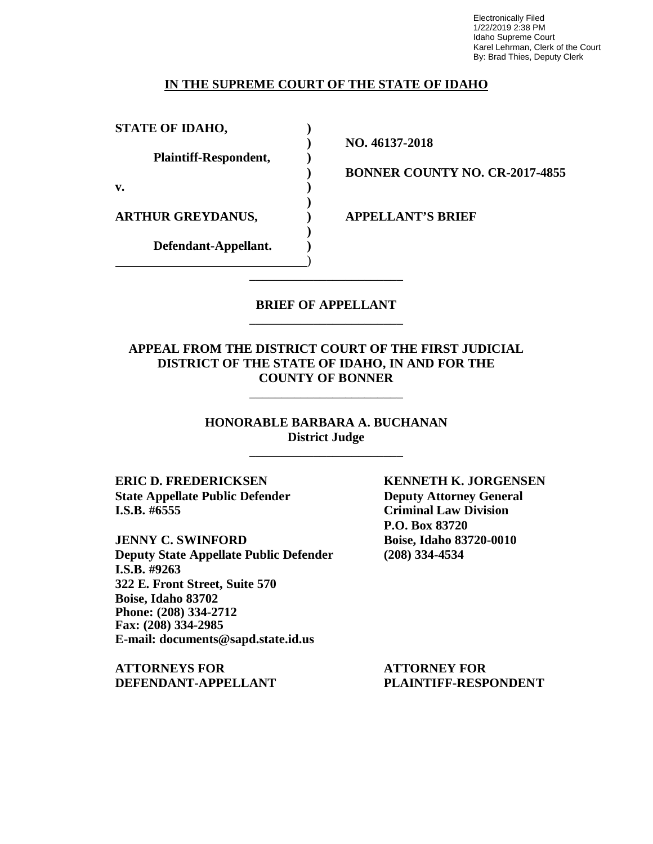Electronically Filed 1/22/2019 2:38 PM Idaho Supreme Court Karel Lehrman, Clerk of the Court By: Brad Thies, Deputy Clerk

#### **IN THE SUPREME COURT OF THE STATE OF IDAHO**

**STATE OF IDAHO, )**

**Plaintiff-Respondent, )**

**v. )**

**ARTHUR GREYDANUS, ) APPELLANT'S BRIEF**

**Defendant-Appellant. )**

**) NO. 46137-2018**

**) BONNER COUNTY NO. CR-2017-4855**

#### **BRIEF OF APPELLANT** \_\_\_\_\_\_\_\_\_\_\_\_\_\_\_\_\_\_\_\_\_\_\_\_

\_\_\_\_\_\_\_\_\_\_\_\_\_\_\_\_\_\_\_\_\_\_\_\_

**)**

**)**

)

### **APPEAL FROM THE DISTRICT COURT OF THE FIRST JUDICIAL DISTRICT OF THE STATE OF IDAHO, IN AND FOR THE COUNTY OF BONNER**

\_\_\_\_\_\_\_\_\_\_\_\_\_\_\_\_\_\_\_\_\_\_\_\_

**HONORABLE BARBARA A. BUCHANAN District Judge**

\_\_\_\_\_\_\_\_\_\_\_\_\_\_\_\_\_\_\_\_\_\_\_\_

**ERIC D. FREDERICKSEN KENNETH K. JORGENSEN State Appellate Public Defender Deputy Attorney General I.S.B. #6555 Criminal Law Division**

**JENNY C. SWINFORD Boise, Idaho 83720-0010 Deputy State Appellate Public Defender (208) 334-4534 I.S.B. #9263 322 E. Front Street, Suite 570 Boise, Idaho 83702 Phone: (208) 334-2712 Fax: (208) 334-2985 E-mail: documents@sapd.state.id.us**

**ATTORNEYS FOR ATTORNEY FOR DEFENDANT-APPELLANT PLAINTIFF-RESPONDENT**

**P.O. Box 83720**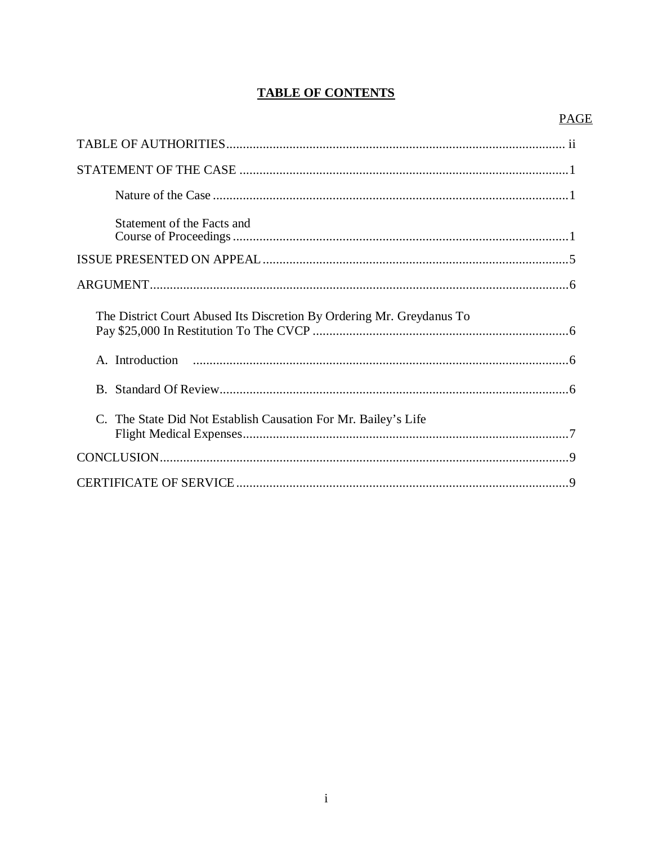## **TABLE OF CONTENTS**

## **PAGE**

| Statement of the Facts and                                            |
|-----------------------------------------------------------------------|
|                                                                       |
|                                                                       |
| The District Court Abused Its Discretion By Ordering Mr. Greydanus To |
|                                                                       |
|                                                                       |
| C. The State Did Not Establish Causation For Mr. Bailey's Life        |
|                                                                       |
|                                                                       |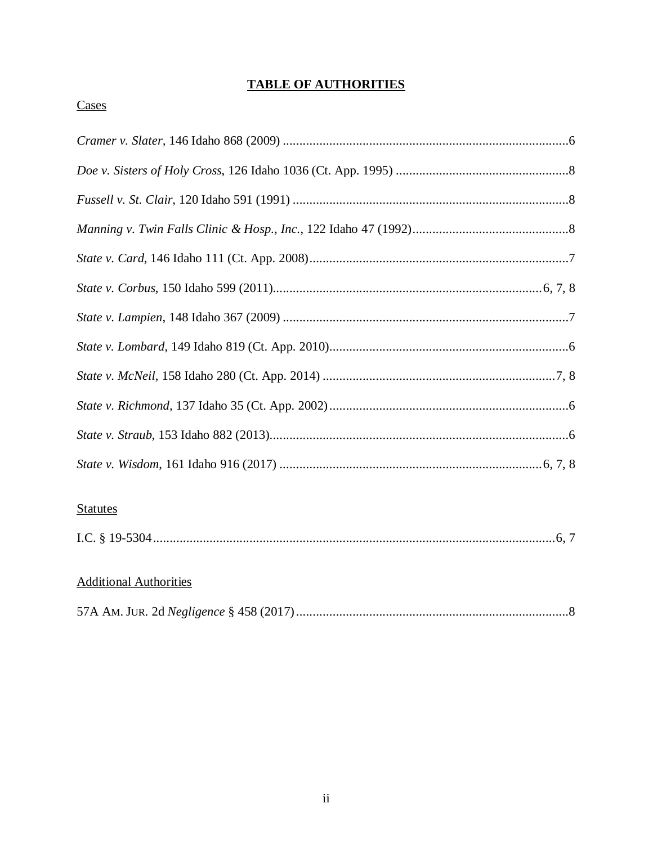## **TABLE OF AUTHORITIES**

## Cases

| <b>Statutes</b> |
|-----------------|

## **Additional Authorities**

|--|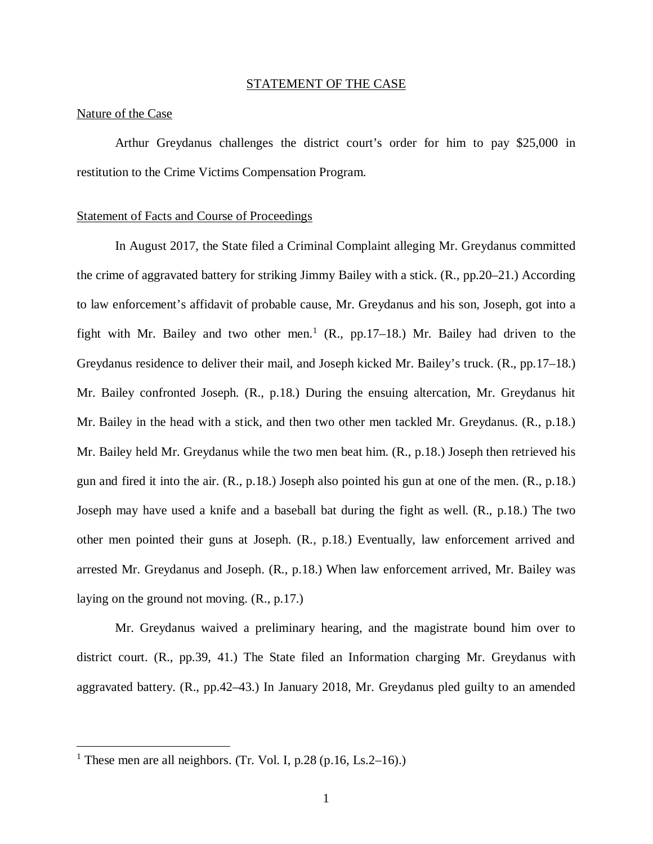#### STATEMENT OF THE CASE

#### Nature of the Case

Arthur Greydanus challenges the district court's order for him to pay \$25,000 in restitution to the Crime Victims Compensation Program.

#### Statement of Facts and Course of Proceedings

In August 2017, the State filed a Criminal Complaint alleging Mr. Greydanus committed the crime of aggravated battery for striking Jimmy Bailey with a stick. (R., pp.20–21.) According to law enforcement's affidavit of probable cause, Mr. Greydanus and his son, Joseph, got into a fight with Mr. Bailey and two other men.<sup>[1](#page-4-0)</sup> (R., pp.17–18.) Mr. Bailey had driven to the Greydanus residence to deliver their mail, and Joseph kicked Mr. Bailey's truck. (R., pp.17–18.) Mr. Bailey confronted Joseph. (R., p.18.) During the ensuing altercation, Mr. Greydanus hit Mr. Bailey in the head with a stick, and then two other men tackled Mr. Greydanus. (R., p.18.) Mr. Bailey held Mr. Greydanus while the two men beat him. (R., p.18.) Joseph then retrieved his gun and fired it into the air. (R., p.18.) Joseph also pointed his gun at one of the men. (R., p.18.) Joseph may have used a knife and a baseball bat during the fight as well. (R., p.18.) The two other men pointed their guns at Joseph. (R., p.18.) Eventually, law enforcement arrived and arrested Mr. Greydanus and Joseph. (R., p.18.) When law enforcement arrived, Mr. Bailey was laying on the ground not moving. (R., p.17.)

Mr. Greydanus waived a preliminary hearing, and the magistrate bound him over to district court. (R., pp.39, 41.) The State filed an Information charging Mr. Greydanus with aggravated battery. (R., pp.42–43.) In January 2018, Mr. Greydanus pled guilty to an amended

<span id="page-4-0"></span><sup>&</sup>lt;sup>1</sup> These men are all neighbors. (Tr. Vol. I, p.28 (p.16, Ls.2–16).)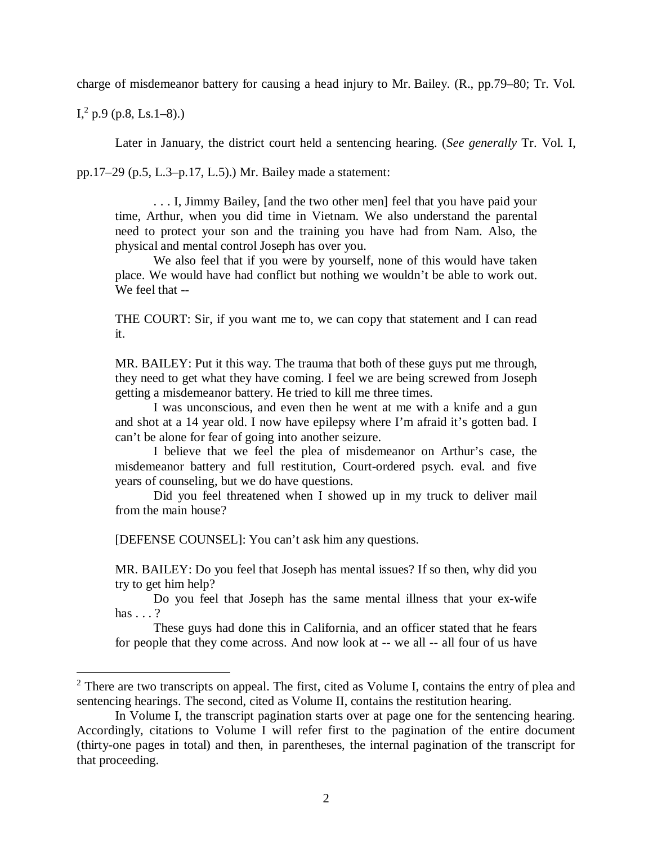charge of misdemeanor battery for causing a head injury to Mr. Bailey. (R., pp.79–80; Tr. Vol.

 $I^2$  $I^2$ , p.9 (p.8, Ls.1–8).)

Later in January, the district court held a sentencing hearing. (*See generally* Tr. Vol. I,

pp.17–29 (p.5, L.3–p.17, L.5).) Mr. Bailey made a statement:

. . . I, Jimmy Bailey, [and the two other men] feel that you have paid your time, Arthur, when you did time in Vietnam. We also understand the parental need to protect your son and the training you have had from Nam. Also, the physical and mental control Joseph has over you.

We also feel that if you were by yourself, none of this would have taken place. We would have had conflict but nothing we wouldn't be able to work out. We feel that --

THE COURT: Sir, if you want me to, we can copy that statement and I can read it.

MR. BAILEY: Put it this way. The trauma that both of these guys put me through, they need to get what they have coming. I feel we are being screwed from Joseph getting a misdemeanor battery. He tried to kill me three times.

I was unconscious, and even then he went at me with a knife and a gun and shot at a 14 year old. I now have epilepsy where I'm afraid it's gotten bad. I can't be alone for fear of going into another seizure.

I believe that we feel the plea of misdemeanor on Arthur's case, the misdemeanor battery and full restitution, Court-ordered psych. eval. and five years of counseling, but we do have questions.

Did you feel threatened when I showed up in my truck to deliver mail from the main house?

[DEFENSE COUNSEL]: You can't ask him any questions.

MR. BAILEY: Do you feel that Joseph has mental issues? If so then, why did you try to get him help?

Do you feel that Joseph has the same mental illness that your ex-wife has . . . ?

These guys had done this in California, and an officer stated that he fears for people that they come across. And now look at -- we all -- all four of us have

<span id="page-5-0"></span> $2$  There are two transcripts on appeal. The first, cited as Volume I, contains the entry of plea and sentencing hearings. The second, cited as Volume II, contains the restitution hearing.

In Volume I, the transcript pagination starts over at page one for the sentencing hearing. Accordingly, citations to Volume I will refer first to the pagination of the entire document (thirty-one pages in total) and then, in parentheses, the internal pagination of the transcript for that proceeding.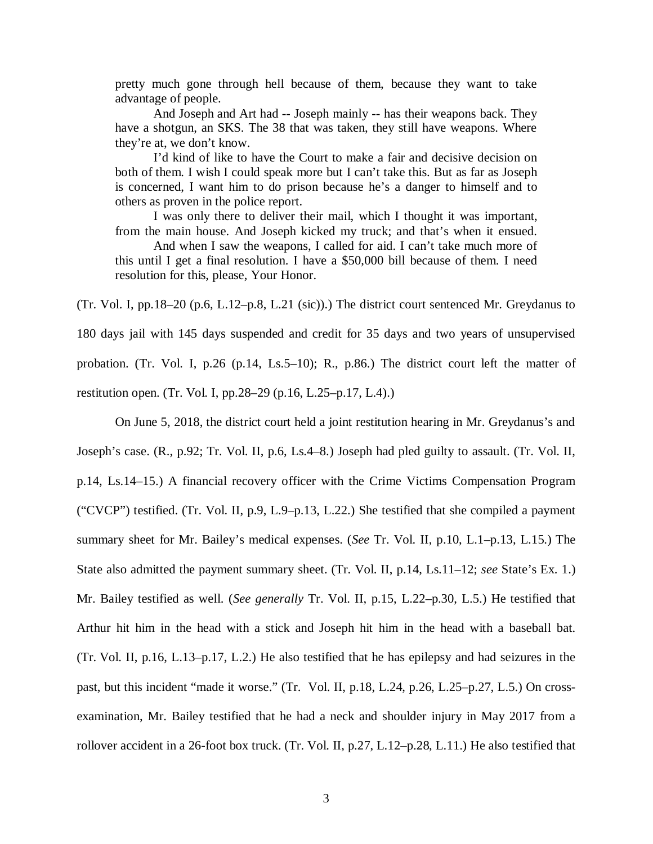pretty much gone through hell because of them, because they want to take advantage of people.

And Joseph and Art had -- Joseph mainly -- has their weapons back. They have a shotgun, an SKS. The 38 that was taken, they still have weapons. Where they're at, we don't know.

I'd kind of like to have the Court to make a fair and decisive decision on both of them. I wish I could speak more but I can't take this. But as far as Joseph is concerned, I want him to do prison because he's a danger to himself and to others as proven in the police report.

I was only there to deliver their mail, which I thought it was important, from the main house. And Joseph kicked my truck; and that's when it ensued.

And when I saw the weapons, I called for aid. I can't take much more of this until I get a final resolution. I have a \$50,000 bill because of them. I need resolution for this, please, Your Honor.

(Tr. Vol. I, pp.18–20 (p.6, L.12–p.8, L.21 (sic)).) The district court sentenced Mr. Greydanus to 180 days jail with 145 days suspended and credit for 35 days and two years of unsupervised probation. (Tr. Vol. I, p.26 (p.14, Ls.5–10); R., p.86.) The district court left the matter of restitution open. (Tr. Vol. I, pp.28–29 (p.16, L.25–p.17, L.4).)

On June 5, 2018, the district court held a joint restitution hearing in Mr. Greydanus's and Joseph's case. (R., p.92; Tr. Vol. II, p.6, Ls.4–8.) Joseph had pled guilty to assault. (Tr. Vol. II, p.14, Ls.14–15.) A financial recovery officer with the Crime Victims Compensation Program ("CVCP") testified. (Tr. Vol. II, p.9, L.9–p.13, L.22.) She testified that she compiled a payment summary sheet for Mr. Bailey's medical expenses. (*See* Tr. Vol. II, p.10, L.1–p.13, L.15.) The State also admitted the payment summary sheet. (Tr. Vol. II, p.14, Ls.11–12; *see* State's Ex. 1.) Mr. Bailey testified as well. (*See generally* Tr. Vol. II, p.15, L.22–p.30, L.5.) He testified that Arthur hit him in the head with a stick and Joseph hit him in the head with a baseball bat. (Tr. Vol. II, p.16, L.13–p.17, L.2.) He also testified that he has epilepsy and had seizures in the past, but this incident "made it worse." (Tr. Vol. II, p.18, L.24, p.26, L.25–p.27, L.5.) On crossexamination, Mr. Bailey testified that he had a neck and shoulder injury in May 2017 from a rollover accident in a 26-foot box truck. (Tr. Vol. II, p.27, L.12–p.28, L.11.) He also testified that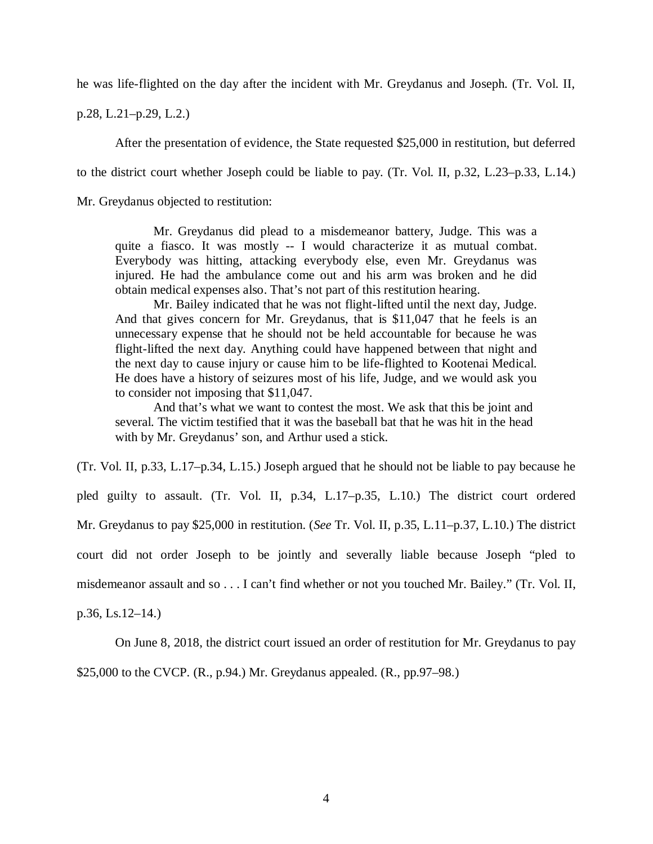he was life-flighted on the day after the incident with Mr. Greydanus and Joseph. (Tr. Vol. II,

p.28, L.21–p.29, L.2.)

After the presentation of evidence, the State requested \$25,000 in restitution, but deferred

to the district court whether Joseph could be liable to pay. (Tr. Vol. II, p.32, L.23–p.33, L.14.)

Mr. Greydanus objected to restitution:

Mr. Greydanus did plead to a misdemeanor battery, Judge. This was a quite a fiasco. It was mostly -- I would characterize it as mutual combat. Everybody was hitting, attacking everybody else, even Mr. Greydanus was injured. He had the ambulance come out and his arm was broken and he did obtain medical expenses also. That's not part of this restitution hearing.

Mr. Bailey indicated that he was not flight-lifted until the next day, Judge. And that gives concern for Mr. Greydanus, that is \$11,047 that he feels is an unnecessary expense that he should not be held accountable for because he was flight-lifted the next day. Anything could have happened between that night and the next day to cause injury or cause him to be life-flighted to Kootenai Medical. He does have a history of seizures most of his life, Judge, and we would ask you to consider not imposing that \$11,047.

And that's what we want to contest the most. We ask that this be joint and several. The victim testified that it was the baseball bat that he was hit in the head with by Mr. Greydanus' son, and Arthur used a stick.

(Tr. Vol. II, p.33, L.17–p.34, L.15.) Joseph argued that he should not be liable to pay because he pled guilty to assault. (Tr. Vol. II, p.34, L.17–p.35, L.10.) The district court ordered Mr. Greydanus to pay \$25,000 in restitution. (*See* Tr. Vol. II, p.35, L.11–p.37, L.10.) The district court did not order Joseph to be jointly and severally liable because Joseph "pled to misdemeanor assault and so . . . I can't find whether or not you touched Mr. Bailey." (Tr. Vol. II, p.36, Ls.12–14.)

On June 8, 2018, the district court issued an order of restitution for Mr. Greydanus to pay \$25,000 to the CVCP. (R., p.94.) Mr. Greydanus appealed. (R., pp.97–98.)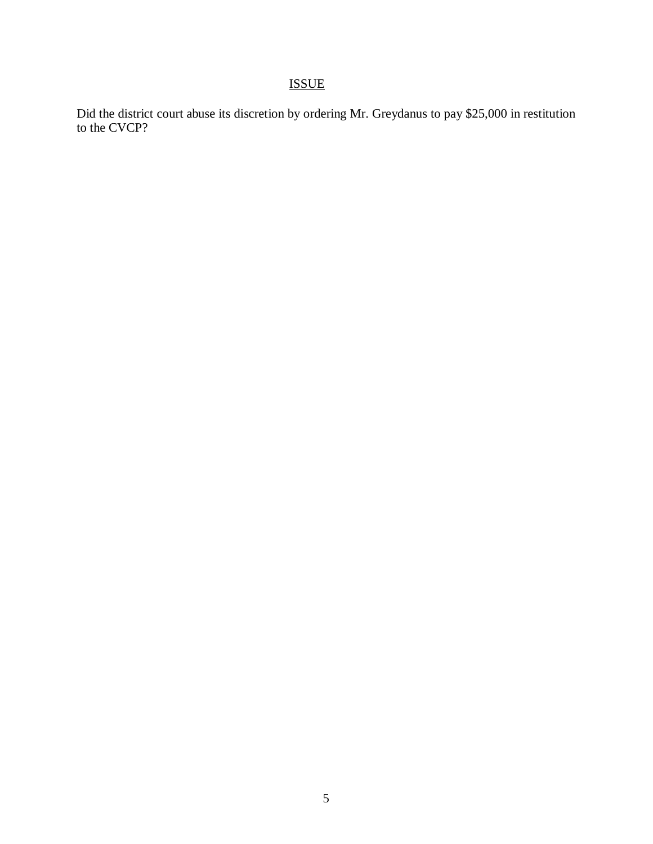## ISSUE

Did the district court abuse its discretion by ordering Mr. Greydanus to pay \$25,000 in restitution to the CVCP?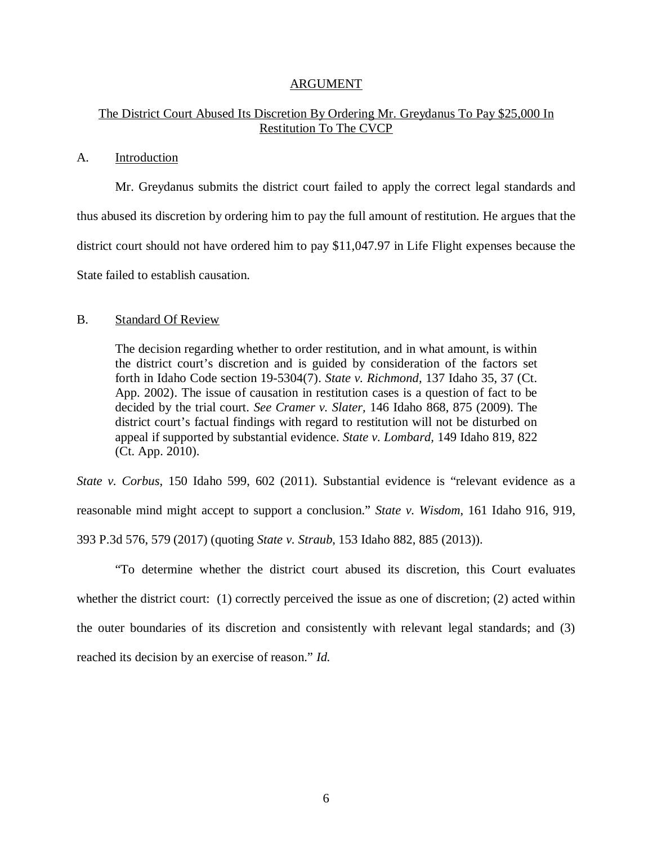#### ARGUMENT

### The District Court Abused Its Discretion By Ordering Mr. Greydanus To Pay \$25,000 In Restitution To The CVCP

#### A. Introduction

Mr. Greydanus submits the district court failed to apply the correct legal standards and thus abused its discretion by ordering him to pay the full amount of restitution. He argues that the district court should not have ordered him to pay \$11,047.97 in Life Flight expenses because the State failed to establish causation.

#### B. Standard Of Review

The decision regarding whether to order restitution, and in what amount, is within the district court's discretion and is guided by consideration of the factors set forth in Idaho Code section 19-5304(7). *State v. Richmond,* 137 Idaho 35, 37 (Ct. App. 2002). The issue of causation in restitution cases is a question of fact to be decided by the trial court. *See Cramer v. Slater,* 146 Idaho 868, 875 (2009). The district court's factual findings with regard to restitution will not be disturbed on appeal if supported by substantial evidence. *State v. Lombard,* 149 Idaho 819, 822 (Ct. App. 2010).

*State v. Corbus*, 150 Idaho 599, 602 (2011). Substantial evidence is "relevant evidence as a reasonable mind might accept to support a conclusion." *State v. Wisdom*, 161 Idaho 916, 919, 393 P.3d 576, 579 (2017) (quoting *State v. Straub*, 153 Idaho 882, 885 (2013)).

"To determine whether the district court abused its discretion, this Court evaluates whether the district court: (1) correctly perceived the issue as one of discretion; (2) acted within the outer boundaries of its discretion and consistently with relevant legal standards; and (3) reached its decision by an exercise of reason." *Id.*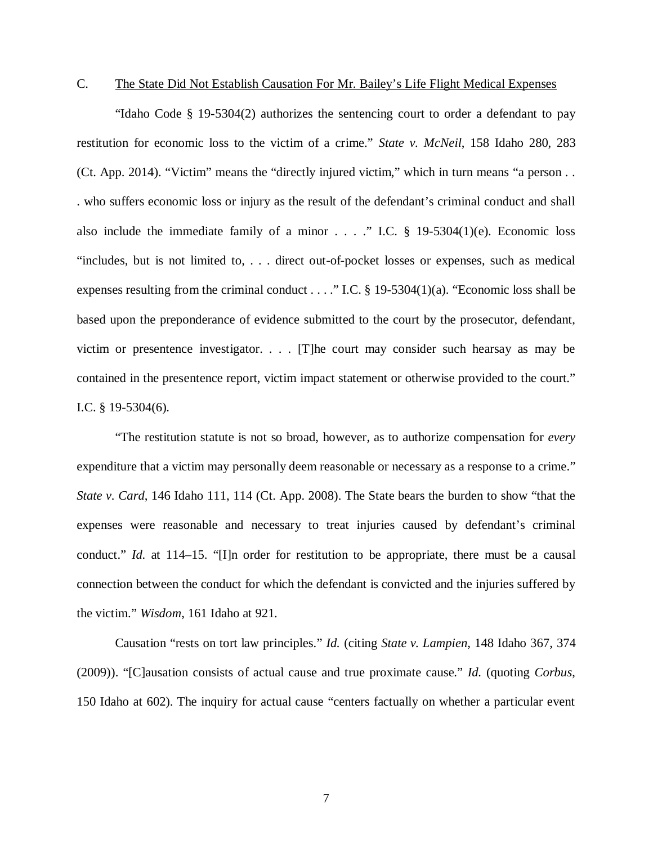## C. The State Did Not Establish Causation For Mr. Bailey's Life Flight Medical Expenses

"Idaho Code § 19-5304(2) authorizes the sentencing court to order a defendant to pay restitution for economic loss to the victim of a crime." *State v. McNeil*, 158 Idaho 280, 283 (Ct. App. 2014). "Victim" means the "directly injured victim," which in turn means "a person . . . who suffers economic loss or injury as the result of the defendant's criminal conduct and shall also include the immediate family of a minor  $\ldots$  ... ." I.C. § 19-5304(1)(e). Economic loss "includes, but is not limited to, . . . direct out-of-pocket losses or expenses, such as medical expenses resulting from the criminal conduct . . . ." I.C. § 19-5304(1)(a). "Economic loss shall be based upon the preponderance of evidence submitted to the court by the prosecutor, defendant, victim or presentence investigator. . . . [T]he court may consider such hearsay as may be contained in the presentence report, victim impact statement or otherwise provided to the court." I.C. § 19-5304(6).

"The restitution statute is not so broad, however, as to authorize compensation for *every* expenditure that a victim may personally deem reasonable or necessary as a response to a crime." *State v. Card*, 146 Idaho 111, 114 (Ct. App. 2008). The State bears the burden to show "that the expenses were reasonable and necessary to treat injuries caused by defendant's criminal conduct." *Id.* at 114–15. "[I]n order for restitution to be appropriate, there must be a causal connection between the conduct for which the defendant is convicted and the injuries suffered by the victim." *Wisdom*, 161 Idaho at 921.

Causation "rests on tort law principles." *Id.* (citing *State v. Lampien*, 148 Idaho 367, 374 (2009)). "[C]ausation consists of actual cause and true proximate cause." *Id.* (quoting *Corbus*, 150 Idaho at 602). The inquiry for actual cause "centers factually on whether a particular event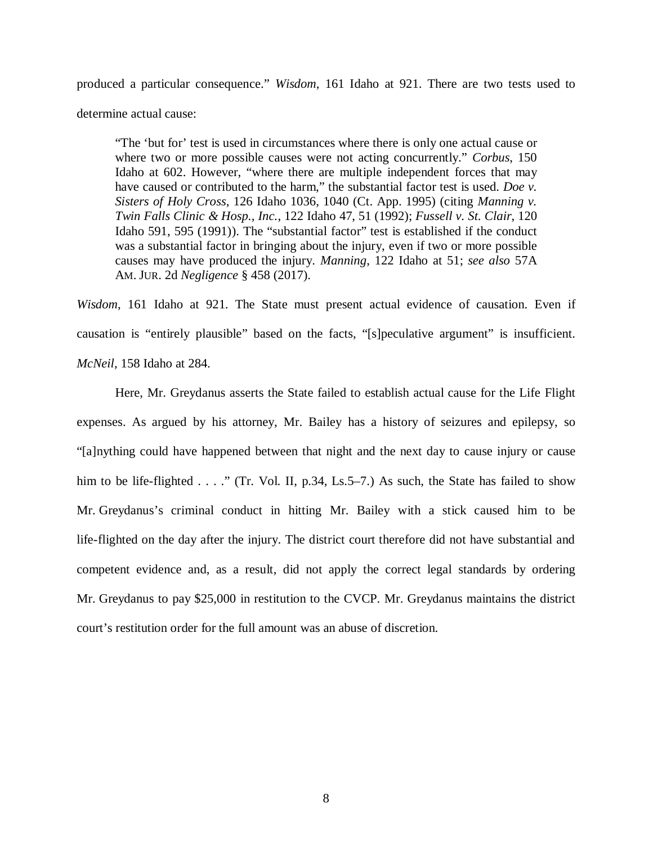produced a particular consequence." *Wisdom*, 161 Idaho at 921. There are two tests used to determine actual cause:

"The 'but for' test is used in circumstances where there is only one actual cause or where two or more possible causes were not acting concurrently." *Corbus*, 150 Idaho at 602. However, "where there are multiple independent forces that may have caused or contributed to the harm," the substantial factor test is used. *Doe v. Sisters of Holy Cross*, 126 Idaho 1036, 1040 (Ct. App. 1995) (citing *Manning v. Twin Falls Clinic & Hosp., Inc.*, 122 Idaho 47, 51 (1992); *Fussell v. St. Clair*, 120 Idaho 591, 595 (1991)). The "substantial factor" test is established if the conduct was a substantial factor in bringing about the injury, even if two or more possible causes may have produced the injury. *Manning*, 122 Idaho at 51; *see also* 57A AM. JUR. 2d *Negligence* § 458 (2017).

*Wisdom*, 161 Idaho at 921. The State must present actual evidence of causation. Even if causation is "entirely plausible" based on the facts, "[s]peculative argument" is insufficient. *McNeil*, 158 Idaho at 284.

Here, Mr. Greydanus asserts the State failed to establish actual cause for the Life Flight expenses. As argued by his attorney, Mr. Bailey has a history of seizures and epilepsy, so "[a]nything could have happened between that night and the next day to cause injury or cause him to be life-flighted . . . ." (Tr. Vol. II, p.34, Ls.5–7.) As such, the State has failed to show Mr. Greydanus's criminal conduct in hitting Mr. Bailey with a stick caused him to be life-flighted on the day after the injury. The district court therefore did not have substantial and competent evidence and, as a result, did not apply the correct legal standards by ordering Mr. Greydanus to pay \$25,000 in restitution to the CVCP. Mr. Greydanus maintains the district court's restitution order for the full amount was an abuse of discretion.